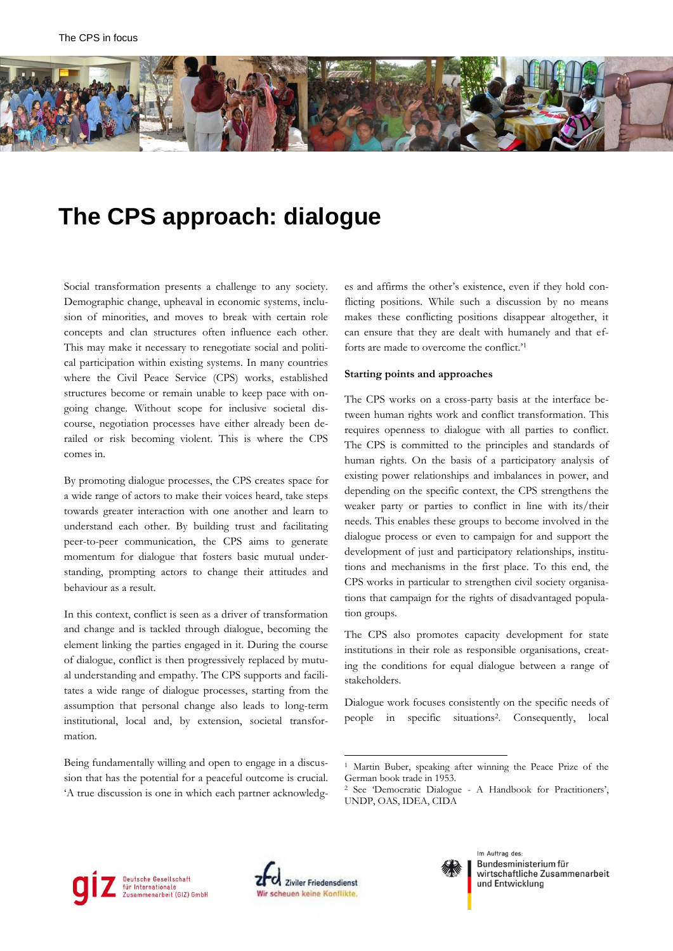

# **The CPS approach: dialogue**

Social transformation presents a challenge to any society. Demographic change, upheaval in economic systems, inclusion of minorities, and moves to break with certain role concepts and clan structures often influence each other. This may make it necessary to renegotiate social and political participation within existing systems. In many countries where the Civil Peace Service (CPS) works, established structures become or remain unable to keep pace with ongoing change. Without scope for inclusive societal discourse, negotiation processes have either already been derailed or risk becoming violent. This is where the CPS comes in.

By promoting dialogue processes, the CPS creates space for a wide range of actors to make their voices heard, take steps towards greater interaction with one another and learn to understand each other. By building trust and facilitating peer-to-peer communication, the CPS aims to generate momentum for dialogue that fosters basic mutual understanding, prompting actors to change their attitudes and behaviour as a result.

In this context, conflict is seen as a driver of transformation and change and is tackled through dialogue, becoming the element linking the parties engaged in it. During the course of dialogue, conflict is then progressively replaced by mutual understanding and empathy. The CPS supports and facilitates a wide range of dialogue processes, starting from the assumption that personal change also leads to long-term institutional, local and, by extension, societal transformation.

Being fundamentally willing and open to engage in a discussion that has the potential for a peaceful outcome is crucial. 'A true discussion is one in which each partner acknowledges and affirms the other's existence, even if they hold conflicting positions. While such a discussion by no means makes these conflicting positions disappear altogether, it can ensure that they are dealt with humanely and that efforts are made to overcome the conflict.' 1

#### **Starting points and approaches**

The CPS works on a cross-party basis at the interface between human rights work and conflict transformation. This requires openness to dialogue with all parties to conflict. The CPS is committed to the principles and standards of human rights. On the basis of a participatory analysis of existing power relationships and imbalances in power, and depending on the specific context, the CPS strengthens the weaker party or parties to conflict in line with its/their needs. This enables these groups to become involved in the dialogue process or even to campaign for and support the development of just and participatory relationships, institutions and mechanisms in the first place. To this end, the CPS works in particular to strengthen civil society organisations that campaign for the rights of disadvantaged population groups.

The CPS also promotes capacity development for state institutions in their role as responsible organisations, creating the conditions for equal dialogue between a range of stakeholders.

Dialogue work focuses consistently on the specific needs of people in specific situations<sup>2</sup> . Consequently, local





1



Im Auftrag des Bundesministerium für wirtschaftliche Zusammenarbeit und Entwicklung

<sup>1</sup> Martin Buber, speaking after winning the Peace Prize of the German book trade in 1953.

<sup>2</sup> See 'Democratic Dialogue - A Handbook for Practitioners', UNDP, OAS, IDEA, CIDA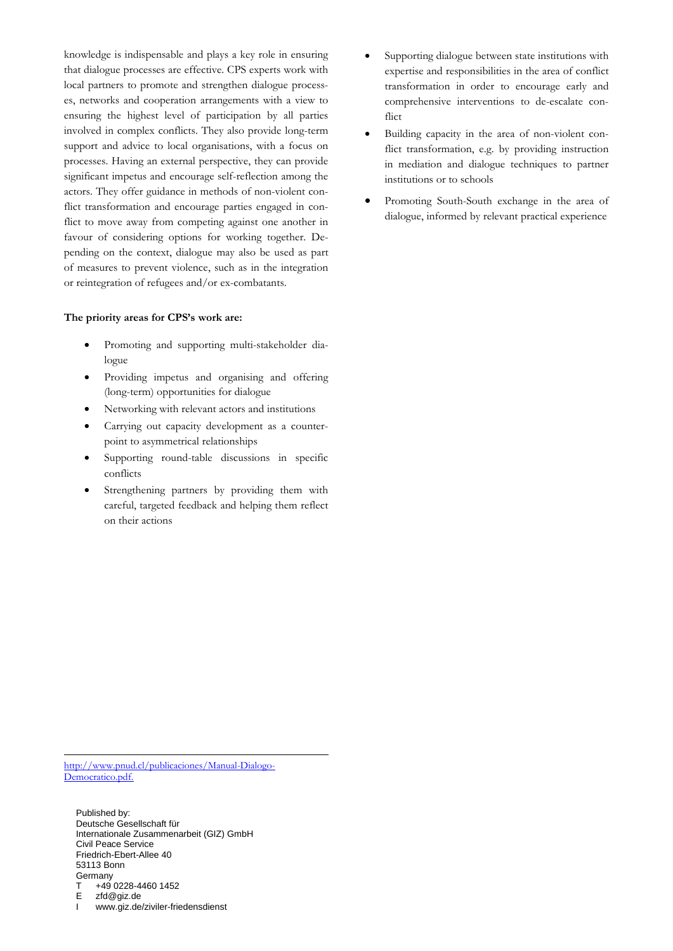knowledge is indispensable and plays a key role in ensuring that dialogue processes are effective. CPS experts work with local partners to promote and strengthen dialogue processes, networks and cooperation arrangements with a view to ensuring the highest level of participation by all parties involved in complex conflicts. They also provide long-term support and advice to local organisations, with a focus on processes. Having an external perspective, they can provide significant impetus and encourage self-reflection among the actors. They offer guidance in methods of non-violent conflict transformation and encourage parties engaged in conflict to move away from competing against one another in favour of considering options for working together. Depending on the context, dialogue may also be used as part of measures to prevent violence, such as in the integration or reintegration of refugees and/or ex-combatants.

#### **The priority areas for CPS's work are:**

- Promoting and supporting multi-stakeholder dialogue
- Providing impetus and organising and offering (long-term) opportunities for dialogue
- Networking with relevant actors and institutions
- Carrying out capacity development as a counterpoint to asymmetrical relationships
- Supporting round-table discussions in specific conflicts
- Strengthening partners by providing them with careful, targeted feedback and helping them reflect on their actions
- Supporting dialogue between state institutions with expertise and responsibilities in the area of conflict transformation in order to encourage early and comprehensive interventions to de-escalate conflict
- Building capacity in the area of non-violent conflict transformation, e.g. by providing instruction in mediation and dialogue techniques to partner institutions or to schools
- Promoting South-South exchange in the area of dialogue, informed by relevant practical experience

[http://www.pnud.cl/publicaciones/Manual-Dialogo-](http://www.pnud.cl/publicaciones/Manual-Dialogo-Democratico.pdf)[Democratico.pdf.](http://www.pnud.cl/publicaciones/Manual-Dialogo-Democratico.pdf)

-

Published by: Deutsche Gesellschaft für Internationale Zusammenarbeit (GIZ) GmbH Civil Peace Service Friedrich-Ebert-Allee 40 53113 Bonn **Germany**  $T +490228-44601452$ <br>F  $zfd@qiz.de$ E zfd@giz.de<br>I www.giz.de

www.giz.de/ziviler-friedensdienst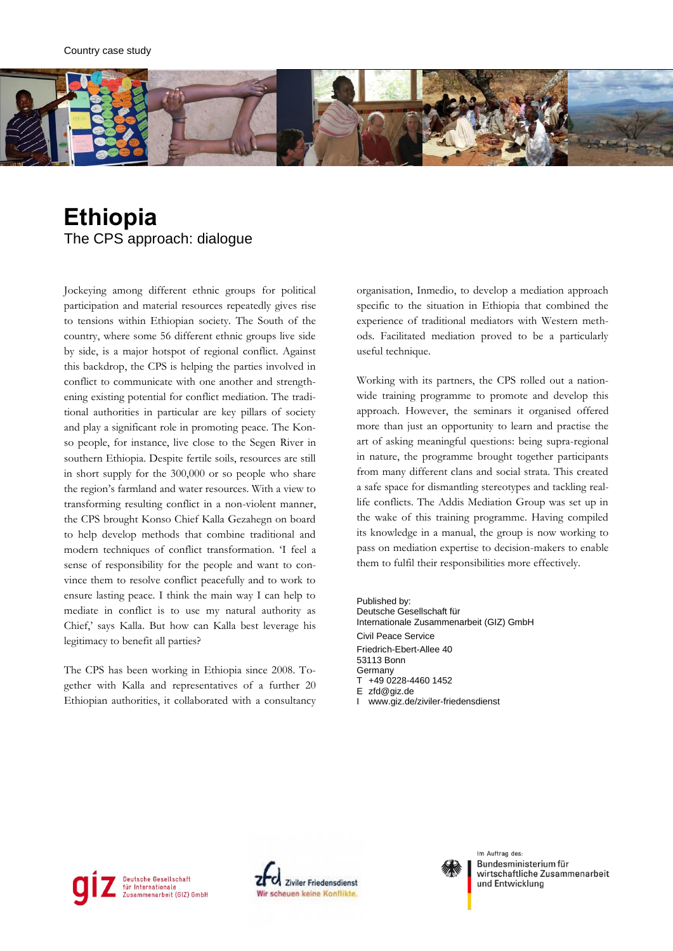

## **Ethiopia** The CPS approach: dialogue

Jockeying among different ethnic groups for political participation and material resources repeatedly gives rise to tensions within Ethiopian society. The South of the country, where some 56 different ethnic groups live side by side, is a major hotspot of regional conflict. Against this backdrop, the CPS is helping the parties involved in conflict to communicate with one another and strengthening existing potential for conflict mediation. The traditional authorities in particular are key pillars of society and play a significant role in promoting peace. The Konso people, for instance, live close to the Segen River in southern Ethiopia. Despite fertile soils, resources are still in short supply for the 300,000 or so people who share the region's farmland and water resources. With a view to transforming resulting conflict in a non-violent manner, the CPS brought Konso Chief Kalla Gezahegn on board to help develop methods that combine traditional and modern techniques of conflict transformation. 'I feel a sense of responsibility for the people and want to convince them to resolve conflict peacefully and to work to ensure lasting peace. I think the main way I can help to mediate in conflict is to use my natural authority as Chief,' says Kalla. But how can Kalla best leverage his legitimacy to benefit all parties?

The CPS has been working in Ethiopia since 2008. Together with Kalla and representatives of a further 20 Ethiopian authorities, it collaborated with a consultancy organisation, Inmedio, to develop a mediation approach specific to the situation in Ethiopia that combined the experience of traditional mediators with Western methods. Facilitated mediation proved to be a particularly useful technique.

Working with its partners, the CPS rolled out a nationwide training programme to promote and develop this approach. However, the seminars it organised offered more than just an opportunity to learn and practise the art of asking meaningful questions: being supra-regional in nature, the programme brought together participants from many different clans and social strata. This created a safe space for dismantling stereotypes and tackling reallife conflicts. The Addis Mediation Group was set up in the wake of this training programme. Having compiled its knowledge in a manual, the group is now working to pass on mediation expertise to decision-makers to enable them to fulfil their responsibilities more effectively.

Published by: Deutsche Gesellschaft für Internationale Zusammenarbeit (GIZ) GmbH Civil Peace Service Friedrich-Ebert-Allee 40 53113 Bonn Germany T +49 0228-4460 1452 E zfd@giz.de www.giz.de/ziviler-friedensdienst







Im Auftrag des: **Bundesministerium für** wirtschaftliche Zusammenarbeit und Entwicklung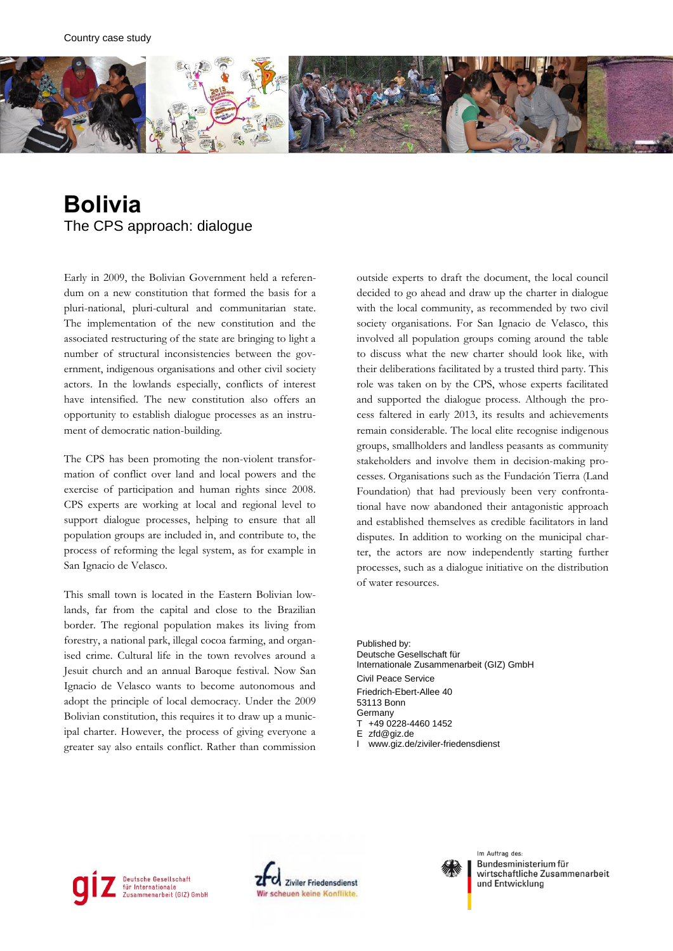

### **Bolivia** The CPS approach: dialogue

Early in 2009, the Bolivian Government held a referendum on a new constitution that formed the basis for a pluri-national, pluri-cultural and communitarian state. The implementation of the new constitution and the associated restructuring of the state are bringing to light a number of structural inconsistencies between the government, indigenous organisations and other civil society actors. In the lowlands especially, conflicts of interest have intensified. The new constitution also offers an opportunity to establish dialogue processes as an instrument of democratic nation-building.

The CPS has been promoting the non-violent transformation of conflict over land and local powers and the exercise of participation and human rights since 2008. CPS experts are working at local and regional level to support dialogue processes, helping to ensure that all population groups are included in, and contribute to, the process of reforming the legal system, as for example in San Ignacio de Velasco.

This small town is located in the Eastern Bolivian lowlands, far from the capital and close to the Brazilian border. The regional population makes its living from forestry, a national park, illegal cocoa farming, and organised crime. Cultural life in the town revolves around a Jesuit church and an annual Baroque festival. Now San Ignacio de Velasco wants to become autonomous and adopt the principle of local democracy. Under the 2009 Bolivian constitution, this requires it to draw up a municipal charter. However, the process of giving everyone a greater say also entails conflict. Rather than commission

outside experts to draft the document, the local council decided to go ahead and draw up the charter in dialogue with the local community, as recommended by two civil society organisations. For San Ignacio de Velasco, this involved all population groups coming around the table to discuss what the new charter should look like, with their deliberations facilitated by a trusted third party. This role was taken on by the CPS, whose experts facilitated and supported the dialogue process. Although the process faltered in early 2013, its results and achievements remain considerable. The local elite recognise indigenous groups, smallholders and landless peasants as community stakeholders and involve them in decision-making processes. Organisations such as the Fundación Tierra (Land Foundation) that had previously been very confrontational have now abandoned their antagonistic approach and established themselves as credible facilitators in land disputes. In addition to working on the municipal charter, the actors are now independently starting further processes, such as a dialogue initiative on the distribution of water resources.

Published by: Deutsche Gesellschaft für Internationale Zusammenarbeit (GIZ) GmbH Civil Peace Service Friedrich-Ebert-Allee 40 53113 Bonn **Germany** T +49 0228-4460 1452 E zfd@giz.de









Im Auftrag des: **Bundesministerium für** wirtschaftliche Zusammenarbeit und Entwicklung